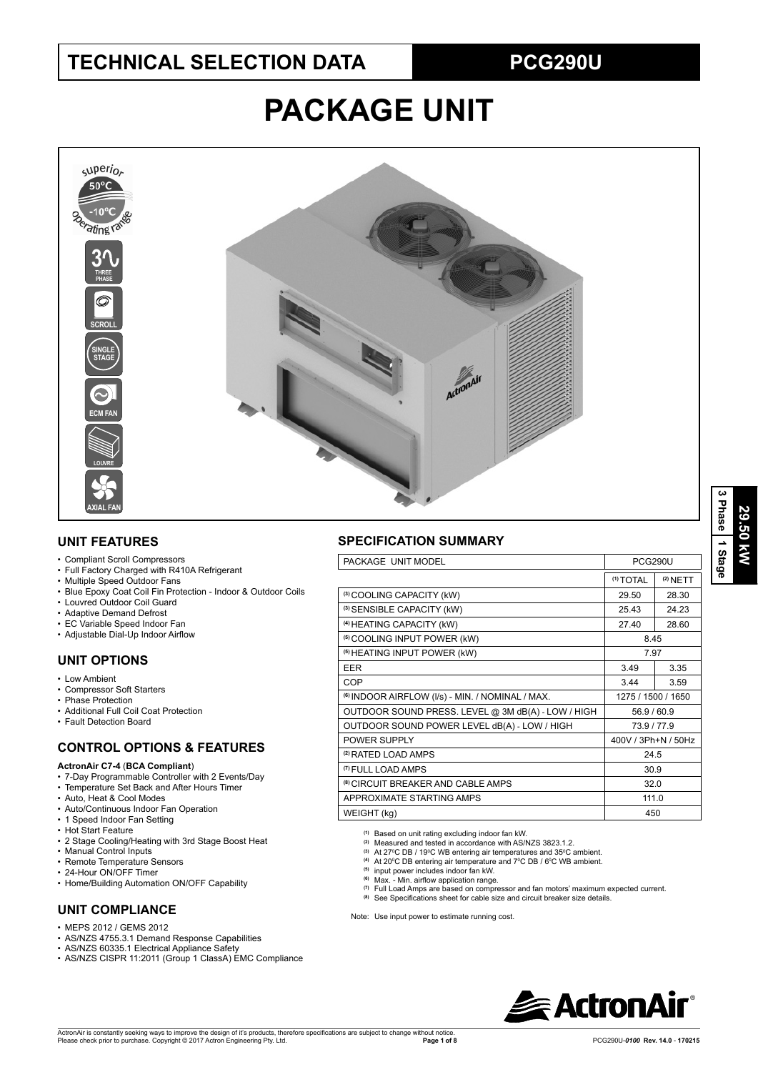## **TECHNICAL SELECTION DATA PCG290U**

# **PACKAGE UNIT**



## **UNIT FEATURES**

- Compliant Scroll Compressors
- Full Factory Charged with R410A Refrigerant
- Multiple Speed Outdoor Fans
- Blue Epoxy Coat Coil Fin Protection Indoor & Outdoor Coils
- Louvred Outdoor Coil Guard
- Adaptive Demand Defrost
- EC Variable Speed Indoor Fan
- Adjustable Dial-Up Indoor Airflow

## **UNIT OPTIONS**

- Low Ambient
- Compressor Soft Starters
- Phase Protection • Additional Full Coil Coat Protection
- Fault Detection Board

## **CONTROL OPTIONS & FEATURES**

#### **ActronAir C7-4** (**BCA Compliant**)

- 7-Day Programmable Controller with 2 Events/Day
- Temperature Set Back and After Hours Timer
- Auto, Heat & Cool Modes
- Auto/Continuous Indoor Fan Operation
- 1 Speed Indoor Fan Setting
- Hot Start Feature
- 2 Stage Cooling/Heating with 3rd Stage Boost Heat
- Manual Control Inputs
- Remote Temperature Sensors
- 24-Hour ON/OFF Timer
- Home/Building Automation ON/OFF Capability

## **UNIT COMPLIANCE**

- MEPS 2012 / GEMS 2012
- AS/NZS 4755.3.1 Demand Response Capabilities
- AS/NZS 60335.1 Electrical Appliance Safety
- AS/NZS CISPR 11:2011 (Group 1 ClassA) EMC Compliance

## **SPECIFICATION SUMMARY**

| PACKAGE UNIT MODEL                                          | <b>PCG290U</b>       |            |  |  |  |
|-------------------------------------------------------------|----------------------|------------|--|--|--|
|                                                             | <sup>(1)</sup> TOTAL | $(2)$ NETT |  |  |  |
| (3) COOLING CAPACITY (kW)                                   | 29.50                | 28.30      |  |  |  |
| (3) SENSIBLE CAPACITY (kW)                                  | 25.43                | 24.23      |  |  |  |
| (4) HEATING CAPACITY (kW)                                   | 27.40                | 28.60      |  |  |  |
| <sup>(5)</sup> COOLING INPUT POWER (kW)                     | 8.45                 |            |  |  |  |
| <sup>(5)</sup> HEATING INPUT POWER (kW)                     | 7.97                 |            |  |  |  |
| <b>EER</b>                                                  | 3.49                 | 3.35       |  |  |  |
| <b>COP</b>                                                  | 3.44                 | 3.59       |  |  |  |
| <sup>(6)</sup> INDOOR AIRFLOW (I/s) - MIN. / NOMINAL / MAX. | 1275 / 1500 / 1650   |            |  |  |  |
| OUTDOOR SOUND PRESS. LEVEL @ 3M dB(A) - LOW / HIGH          | 56.9 / 60.9          |            |  |  |  |
| OUTDOOR SOUND POWER LEVEL dB(A) - LOW / HIGH                | 73.9/77.9            |            |  |  |  |
| POWER SUPPLY                                                | 400V / 3Ph+N / 50Hz  |            |  |  |  |
| <sup>(2)</sup> RATED LOAD AMPS                              | 24.5                 |            |  |  |  |
| <sup>(7)</sup> FULL LOAD AMPS                               | 30.9                 |            |  |  |  |
| <sup>(8)</sup> CIRCUIT BREAKER AND CABLE AMPS               | 32.0                 |            |  |  |  |
| APPROXIMATE STARTING AMPS                                   | 111.0                |            |  |  |  |
| WEIGHT (kg)                                                 | 450                  |            |  |  |  |

**(1)** Based on unit rating excluding indoor fan kW. **(2)** Measured and tested in accordance with AS/NZS 3823.1.2.

- 
- <sup>(3)</sup> At 27ºC DB / 19ºC WB entering air temperatures and 35ºC ambient.<br><sup>(4)</sup> At 20ºC DB entering air temperature and 7ºC DB / 6ºC WB ambient.<br><sup>(5)</sup> input power includes indoor fan kW.
- 
- <sup>(6)</sup> Max. Min. airflow application range.
- **(7)** Full Load Amps are based on compressor and fan motors' maximum expected current.
- (8) See Specifications sheet for cable size and circuit breaker size details.

Note: Use input power to estimate running cost.

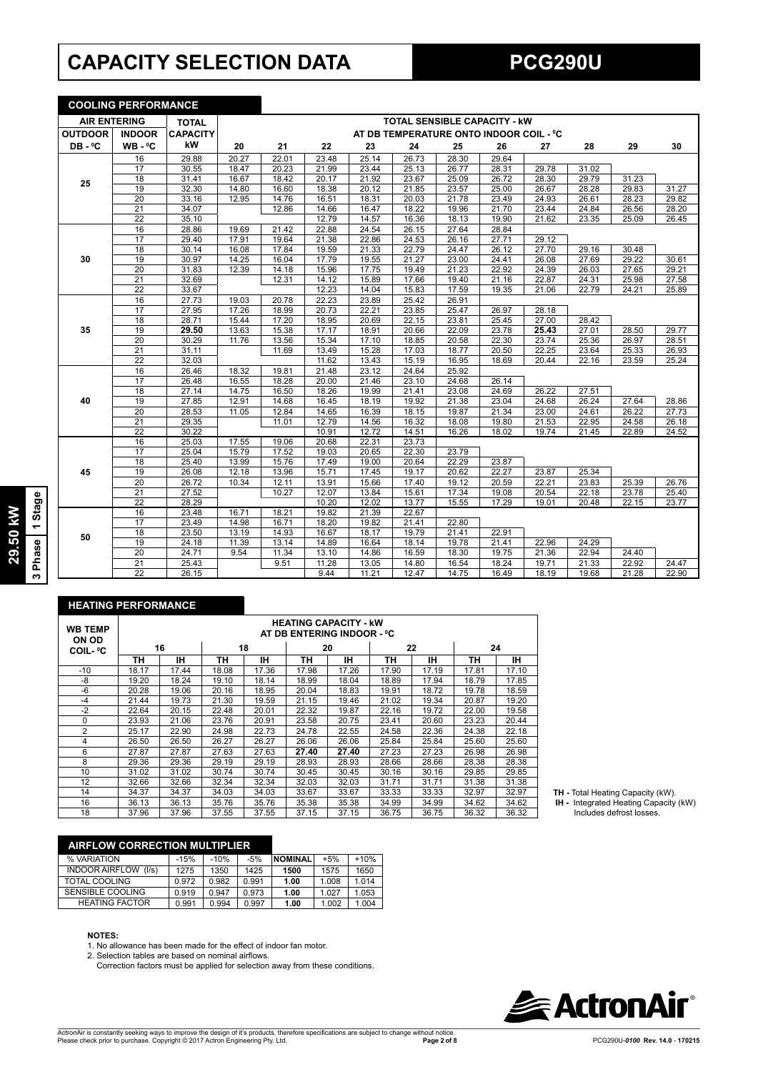## **CAPACITY SELECTION DATA PCG290U**

**COOLING PERFORMANCE**

|                     | <u>UUULINU PERFURMANUE</u> |                 |       |       |       |       |       |                                         |       |       |       |       |       |
|---------------------|----------------------------|-----------------|-------|-------|-------|-------|-------|-----------------------------------------|-------|-------|-------|-------|-------|
| <b>AIR ENTERING</b> |                            | <b>TOTAL</b>    |       |       |       |       |       | <b>TOTAL SENSIBLE CAPACITY - KW</b>     |       |       |       |       |       |
| <b>OUTDOOR</b>      | <b>INDOOR</b>              | <b>CAPACITY</b> |       |       |       |       |       | AT DB TEMPERATURE ONTO INDOOR COIL - °C |       |       |       |       |       |
| DB-°C               | $WB - C$                   | kW              | 20    | 21    | 22    | 23    | 24    | 25                                      | 26    | 27    | 28    | 29    | 30    |
|                     | 16                         | 29.88           | 20.27 | 22.01 | 23.48 | 25.14 | 26.73 | 28.30                                   | 29.64 |       |       |       |       |
|                     | 17                         | 30.55           | 18.47 | 20.23 | 21.99 | 23.44 | 25.13 | 26.77                                   | 28.31 | 29.78 | 31.02 |       |       |
| 25                  | 18                         | 31.41           | 16.67 | 18.42 | 20.17 | 21.92 | 23.67 | 25.09                                   | 26.72 | 28.30 | 29.79 | 31.23 |       |
|                     | 19                         | 32.30           | 14.80 | 16.60 | 18.38 | 20.12 | 21.85 | 23.57                                   | 25.00 | 26.67 | 28.28 | 29.83 | 31.27 |
|                     | $\overline{20}$            | 33.16           | 12.95 | 14.76 | 16.51 | 18.31 | 20.03 | 21.78                                   | 23.49 | 24.93 | 26.61 | 28.23 | 29.82 |
|                     | $\overline{21}$            | 34.07           |       | 12.86 | 14.66 | 16.47 | 18.22 | 19.96                                   | 21.70 | 23.44 | 24.84 | 26.56 | 28.20 |
|                     | $\overline{22}$            | 35.10           |       |       | 12.79 | 14.57 | 16.36 | 18.13                                   | 19.90 | 21.62 | 23.35 | 25.09 | 26.45 |
|                     | 16                         | 28.86           | 19.69 | 21.42 | 22.88 | 24.54 | 26.15 | 27.64                                   | 28.84 |       |       |       |       |
|                     | 17                         | 29.40           | 17.91 | 19.64 | 21.38 | 22.86 | 24.53 | 26.16                                   | 27.71 | 29.12 |       |       |       |
|                     | $\overline{18}$            | 30.14           | 16.08 | 17.84 | 19.59 | 21.33 | 22.79 | 24.47                                   | 26.12 | 27.70 | 29.16 | 30.48 |       |
| 30                  | 19                         | 30.97           | 14.25 | 16.04 | 17.79 | 19.55 | 21.27 | 23.00                                   | 24.41 | 26.08 | 27.69 | 29.22 | 30.61 |
|                     | 20                         | 31.83           | 12.39 | 14.18 | 15.96 | 17.75 | 19.49 | 21.23                                   | 22.92 | 24.39 | 26.03 | 27.65 | 29.21 |
|                     | $\overline{21}$            | 32.69           |       | 12.31 | 14.12 | 15.89 | 17.66 | 19.40                                   | 21.16 | 22.87 | 24.31 | 25.98 | 27.58 |
|                     | $\overline{22}$            | 33.67           |       |       | 12.23 | 14.04 | 15.83 | 17.59                                   | 19.35 | 21.06 | 22.79 | 24.21 | 25.89 |
|                     | 16                         | 27.73           | 19.03 | 20.78 | 22.23 | 23.89 | 25.42 | 26.91                                   |       |       |       |       |       |
|                     | 17                         | 27.95           | 17.26 | 18.99 | 20.73 | 22.21 | 23.85 | 25.47                                   | 26.97 | 28.18 |       |       |       |
|                     | 18                         | 28.71           | 15.44 | 17.20 | 18.95 | 20.69 | 22.15 | 23.81                                   | 25.45 | 27.00 | 28.42 |       |       |
| 35                  | 19                         | 29.50           | 13.63 | 15.38 | 17.17 | 18.91 | 20.66 | 22.09                                   | 23.78 | 25.43 | 27.01 | 28.50 | 29.77 |
|                     | 20                         | 30.29           | 11.76 | 13.56 | 15.34 | 17.10 | 18.85 | 20.58                                   | 22.30 | 23.74 | 25.36 | 26.97 | 28.51 |
|                     | 21                         | 31.11           |       | 11.69 | 13.49 | 15.28 | 17.03 | 18.77                                   | 20.50 | 22.25 | 23.64 | 25.33 | 26.93 |
|                     | $\overline{22}$            | 32.03           |       |       | 11.62 | 13.43 | 15.19 | 16.95                                   | 18.69 | 20.44 | 22.16 | 23.59 | 25.24 |
|                     | 16                         | 26.46           | 18.32 | 19.81 | 21.48 | 23.12 | 24.64 | 25.92                                   |       |       |       |       |       |
|                     | 17                         | 26.48           | 16.55 | 18.28 | 20.00 | 21.46 | 23.10 | 24.68                                   | 26.14 |       |       |       |       |
|                     | 18                         | 27.14           | 14.75 | 16.50 | 18.26 | 19.99 | 21.41 | 23.08                                   | 24.69 | 26.22 | 27.51 |       |       |
| 40                  | 19                         | 27.85           | 12.91 | 14.68 | 16.45 | 18.19 | 19.92 | 21.38                                   | 23.04 | 24.68 | 26.24 | 27.64 | 28.86 |
|                     | 20                         | 28.53           | 11.05 | 12.84 | 14.65 | 16.39 | 18.15 | 19.87                                   | 21.34 | 23.00 | 24.61 | 26.22 | 27.73 |
|                     | 21                         | 29.35           |       | 11.01 | 12.79 | 14.56 | 16.32 | 18.08                                   | 19.80 | 21.53 | 22.95 | 24.58 | 26.18 |
|                     | $\overline{22}$            | 30.22           |       |       | 10.91 | 12.72 | 14.51 | 16.26                                   | 18.02 | 19.74 | 21.45 | 22.89 | 24.52 |
|                     | 16                         | 25.03           | 17.55 | 19.06 | 20.68 | 22.31 | 23.73 |                                         |       |       |       |       |       |
|                     | $\overline{17}$            | 25.04           | 15.79 | 17.52 | 19.03 | 20.65 | 22.30 | 23.79                                   |       |       |       |       |       |
|                     | 18                         | 25.40           | 13.99 | 15.76 | 17.49 | 19.00 | 20.64 | 22.29                                   | 23.87 |       |       |       |       |
| 45                  | 19                         | 26.08           | 12.18 | 13.96 | 15.71 | 17.45 | 19.17 | 20.62                                   | 22.27 | 23.87 | 25.34 |       |       |
|                     | 20                         | 26.72           | 10.34 | 12.11 | 13.91 | 15.66 | 17.40 | 19.12                                   | 20.59 | 22.21 | 23.83 | 25.39 | 26.76 |
|                     | 21                         | 27.52           |       | 10.27 | 12.07 | 13.84 | 15.61 | 17.34                                   | 19.08 | 20.54 | 22.18 | 23.78 | 25.40 |
|                     | $\overline{22}$            | 28.29           |       |       | 10.20 | 12.02 | 13.77 | 15.55                                   | 17.29 | 19.01 | 20.48 | 22.15 | 23.77 |
|                     | 16                         | 23.48           | 16.71 | 18.21 | 19.82 | 21.39 | 22.67 |                                         |       |       |       |       |       |
|                     | 17                         | 23.49           | 14.98 | 16.71 | 18.20 | 19.82 | 21.41 | 22.80                                   |       |       |       |       |       |
| 50                  | 18                         | 23.50           | 13.19 | 14.93 | 16.67 | 18.17 | 19.79 | 21.41                                   | 22.91 |       |       |       |       |
|                     | 19                         | 24.18           | 11.39 | 13.14 | 14.89 | 16.64 | 18.14 | 19.78                                   | 21.41 | 22.96 | 24.29 |       |       |
|                     | 20                         | 24.71           | 9.54  | 11.34 | 13.10 | 14.86 | 16.59 | 18.30                                   | 19.75 | 21.36 | 22.94 | 24.40 |       |
|                     | $\overline{21}$            | 25.43           |       | 9.51  | 11.28 | 13.05 | 14.80 | 16.54                                   | 18.24 | 19.71 | 21.33 | 22.92 | 24.47 |
|                     | $\overline{22}$            | 26.15           |       |       | 9.44  | 11.21 | 12.47 | 14.75                                   | 16.49 | 18.19 | 19.68 | 21.28 | 22.90 |

### **HEATING PERFORMANCE**

| <b>WB TEMP</b><br>ON OD | <b>HEATING CAPACITY - kW</b><br>AT DB ENTERING INDOOR - °C |       |       |       |       |       |       |       |       |       |
|-------------------------|------------------------------------------------------------|-------|-------|-------|-------|-------|-------|-------|-------|-------|
| COIL- ºC                |                                                            | 16    | 18    |       | 20    |       |       | 22    | 24    |       |
|                         | ΤН                                                         | IH.   | ΤН    | ін    | ΤН    | IН    | TН    | ۱Н    | TН    | IΗ    |
| $-10$                   | 18.17                                                      | 17.44 | 18.08 | 17.36 | 17.98 | 17.26 | 17.90 | 17.19 | 17.81 | 17.10 |
| -8                      | 19.20                                                      | 18.24 | 19.10 | 18.14 | 18.99 | 18.04 | 18.89 | 17.94 | 18.79 | 17.85 |
| -6                      | 20.28                                                      | 19.06 | 20.16 | 18.95 | 20.04 | 18.83 | 19.91 | 18.72 | 19.78 | 18.59 |
| $-4$                    | 21.44                                                      | 19.73 | 21.30 | 19.59 | 21.15 | 19.46 | 21.02 | 19.34 | 20.87 | 19.20 |
| $-2$                    | 22.64                                                      | 20.15 | 22.48 | 20.01 | 22.32 | 19.87 | 22.16 | 19.72 | 22.00 | 19.58 |
| $\Omega$                | 23.93                                                      | 21.06 | 23.76 | 20.91 | 23.58 | 20.75 | 23.41 | 20.60 | 23.23 | 20.44 |
| 2                       | 25.17                                                      | 22.90 | 24.98 | 22.73 | 24.78 | 22.55 | 24.58 | 22.36 | 24.38 | 22.18 |
| 4                       | 26.50                                                      | 26.50 | 26.27 | 26.27 | 26.06 | 26.06 | 25.84 | 25.84 | 25.60 | 25.60 |
| 6                       | 27.87                                                      | 27.87 | 27.63 | 27.63 | 27.40 | 27.40 | 27.23 | 27.23 | 26.98 | 26.98 |
| 8                       | 29.36                                                      | 29.36 | 29.19 | 29.19 | 28.93 | 28.93 | 28.66 | 28.66 | 28.38 | 28.38 |
| 10                      | 31.02                                                      | 31.02 | 30.74 | 30.74 | 30.45 | 30.45 | 30.16 | 30.16 | 29.85 | 29.85 |
| 12                      | 32.66                                                      | 32.66 | 32.34 | 32.34 | 32.03 | 32.03 | 31.71 | 31.71 | 31.38 | 31.38 |
| 14                      | 34.37                                                      | 34.37 | 34.03 | 34.03 | 33.67 | 33.67 | 33.33 | 33.33 | 32.97 | 32.97 |
| 16                      | 36.13                                                      | 36.13 | 35.76 | 35.76 | 35.38 | 35.38 | 34.99 | 34.99 | 34.62 | 34.62 |
| 18                      | 37.96                                                      | 37.96 | 37.55 | 37.55 | 37.15 | 37.15 | 36.75 | 36.75 | 36.32 | 36.32 |

**TH -** Total Heating Capacity (kW).

 **IH -** Integrated Heating Capacity (kW) Includes defrost losses.

## **AIRFLOW CORRECTION MULTIPLIER**

| % VARIATION                    | $-15%$ | $-10%$ | $-5%$ | <b>NOMINAL</b> | $+5%$ | $+10%$ |
|--------------------------------|--------|--------|-------|----------------|-------|--------|
| <b>INDOOR AIRFLOW</b><br>(1/s) | 1275   | 1350   | 1425  | 1500           | 1575  | 1650   |
| TOTAL COOLING                  | 0.972  | 0.982  | 0.991 | 1.00           | 1.008 | 1.014  |
| SENSIBLE COOLING               | 0.919  | 0.947  | 0.973 | 1.00           | 1.027 | 1.053  |
| <b>HEATING FACTOR</b>          | 0.991  | 0.994  | 0.997 | 1.00           | 1.002 | 1.004  |
|                                |        |        |       |                |       |        |

#### **NOTES:**

1. No allowance has been made for the effect of indoor fan motor.<br>2. Selection tables are based on nominal airflows.

Correction factors must be applied for selection away from these conditions.



**29.50 kW 3 Phase 1 Stage**

3 Phase 1 Stage 29.50 kW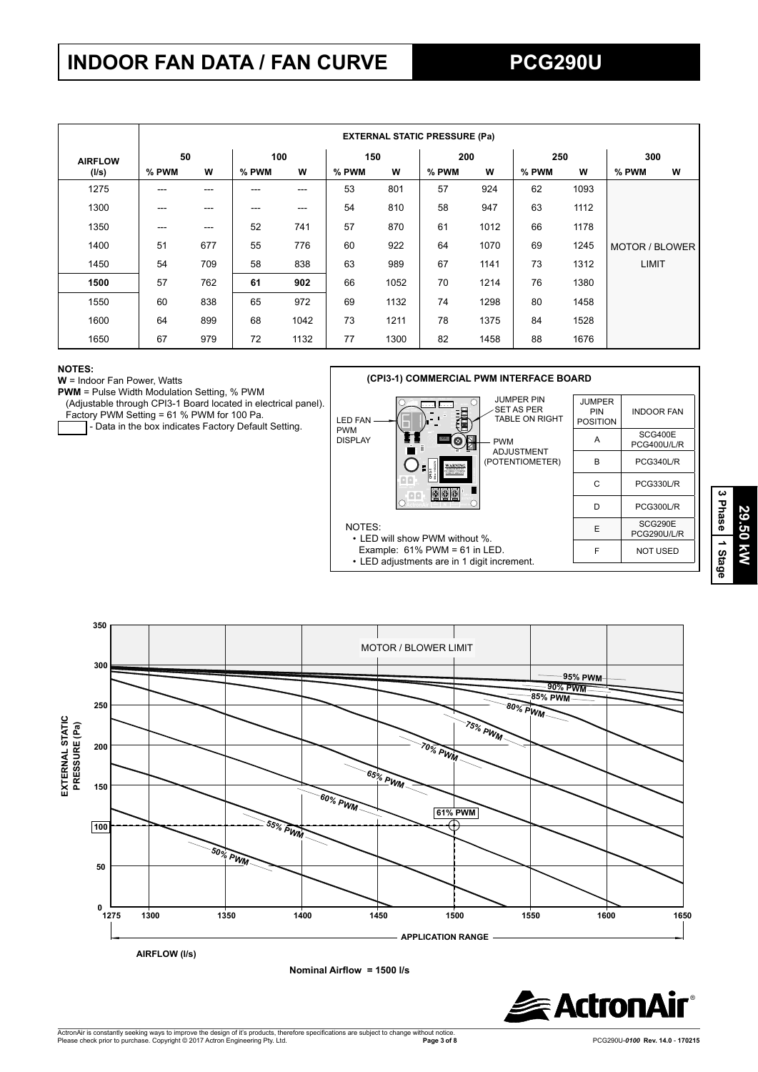## **INDOOR FAN DATA / FAN CURVE PCG290U**

|                |       | <b>EXTERNAL STATIC PRESSURE (Pa)</b> |       |                   |       |      |       |      |       |      |                |   |     |  |
|----------------|-------|--------------------------------------|-------|-------------------|-------|------|-------|------|-------|------|----------------|---|-----|--|
| <b>AIRFLOW</b> | 50    |                                      |       | 100               |       |      |       | 150  | 200   |      | 250            |   | 300 |  |
| (1/s)          | % PWM | W                                    | % PWM | W                 | % PWM | W    | % PWM | W    | % PWM | W    | % PWM          | w |     |  |
| 1275           | ---   |                                      |       | ---               | 53    | 801  | 57    | 924  | 62    | 1093 |                |   |     |  |
| 1300           | $---$ | ---                                  | ---   | $\qquad \qquad -$ | 54    | 810  | 58    | 947  | 63    | 1112 |                |   |     |  |
| 1350           | $---$ | ---                                  | 52    | 741               | 57    | 870  | 61    | 1012 | 66    | 1178 |                |   |     |  |
| 1400           | 51    | 677                                  | 55    | 776               | 60    | 922  | 64    | 1070 | 69    | 1245 | MOTOR / BLOWER |   |     |  |
| 1450           | 54    | 709                                  | 58    | 838               | 63    | 989  | 67    | 1141 | 73    | 1312 | LIMIT          |   |     |  |
| 1500           | 57    | 762                                  | 61    | 902               | 66    | 1052 | 70    | 1214 | 76    | 1380 |                |   |     |  |
| 1550           | 60    | 838                                  | 65    | 972               | 69    | 1132 | 74    | 1298 | 80    | 1458 |                |   |     |  |
| 1600           | 64    | 899                                  | 68    | 1042              | 73    | 1211 | 78    | 1375 | 84    | 1528 |                |   |     |  |
| 1650           | 67    | 979                                  | 72    | 1132              | 77    | 1300 | 82    | 1458 | 88    | 1676 |                |   |     |  |

#### **NOTES:**

**W** = Indoor Fan Power, Watts

**PWM** = Pulse Width Modulation Setting, % PWM

(Adjustable through CPI3-1 Board located in electrical panel).

Factory PWM Setting = 61 % PWM for 100 Pa.

- Data in the box indicates Factory Default Setting.





**Nominal Airflow = 1500 l/s** 



**3 Phase**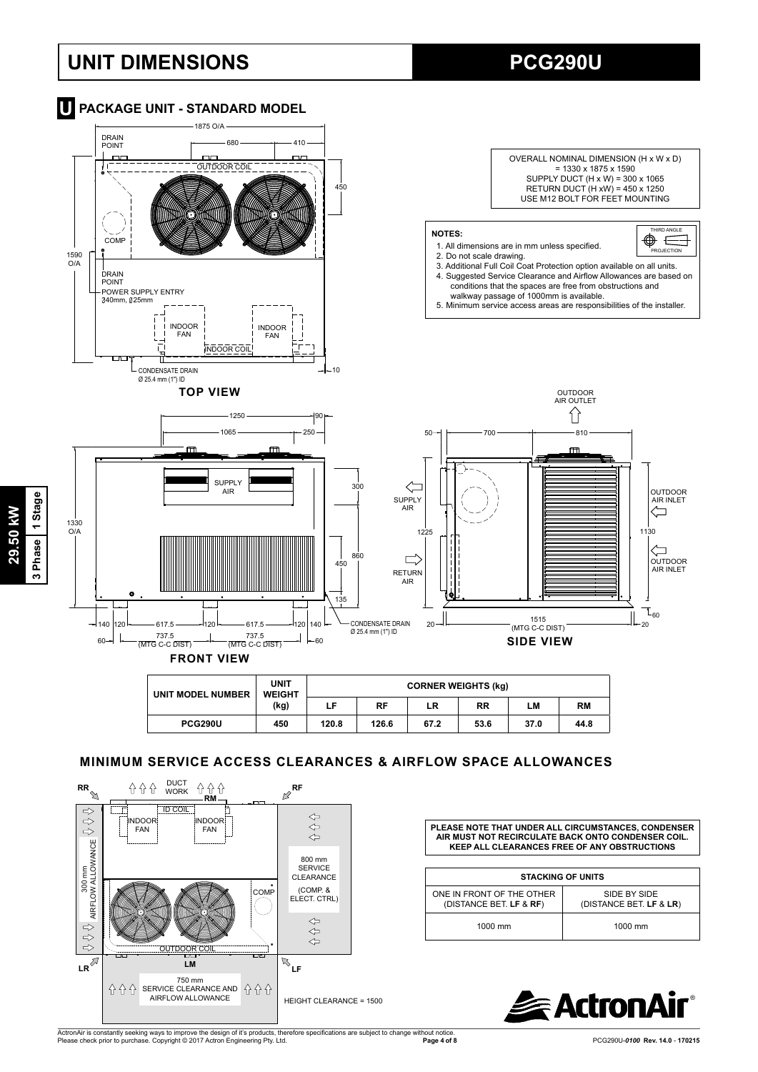## **UNIT DIMENSIONS PCG290U**





## **MINIMUM SERVICE ACCESS CLEARANCES & AIRFLOW SPACE ALLOWANCES**



**PLEASE NOTE THAT UNDER ALL CIRCUMSTANCES, CONDENSER AIR MUST NOT RECIRCULATE BACK ONTO CONDENSER COIL. KEEP ALL CLEARANCES FREE OF ANY OBSTRUCTIONS**

| <b>STACKING OF UNITS</b>                             |                                         |  |  |  |  |  |
|------------------------------------------------------|-----------------------------------------|--|--|--|--|--|
| ONE IN FRONT OF THE OTHER<br>(DISTANCE BET. LF & RF) | SIDE BY SIDE<br>(DISTANCE BET. LF & LR) |  |  |  |  |  |
| $1000$ mm                                            | $1000$ mm                               |  |  |  |  |  |



ActronAir is constantly seeking ways to improve the design of it's products, therefore specifications are subject to change without notice.<br>Please check prior to purchase. Copyright © 2017 Actron Engineering Pty. Ltd.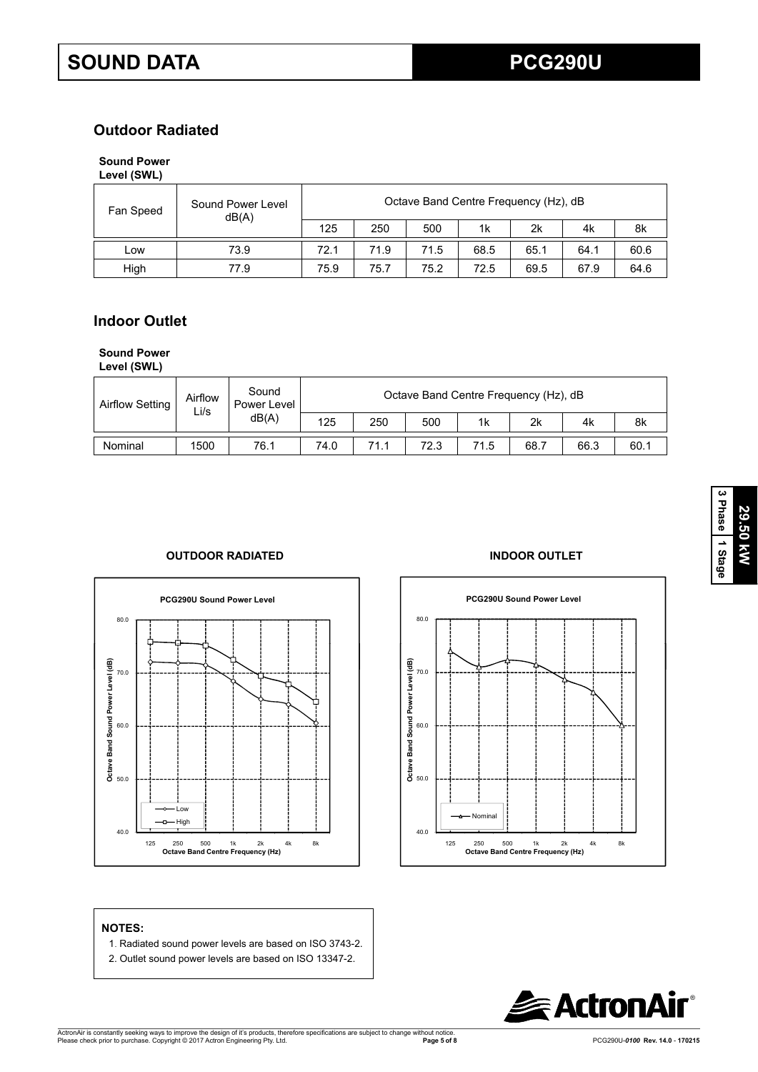## **Outdoor Radiated**

### **Sound Power Level (SWL)**

| Fan Speed | Sound Power Level | Octave Band Centre Frequency (Hz), dB<br>dB(A) |      |      |      |      |      |      |  |
|-----------|-------------------|------------------------------------------------|------|------|------|------|------|------|--|
|           |                   | 125                                            | 250  | 500  | 1k   | 2k   | 4k   | 8k   |  |
| LOW       | 73.9              | 72.1                                           | 71.9 | 71.5 | 68.5 | 65.1 | 64.1 | 60.6 |  |
| High      | 77.9              | 75.9                                           | 75.7 | 75.2 | 72.5 | 69.5 | 67.9 | 64.6 |  |

## **Indoor Outlet**

## **Sound Power**

**Level (SWL)**

| <b>Airflow Setting</b> | Airflow<br>Li/s | Sound<br>Power Level |      |      | Octave Band Centre Frequency (Hz), dB |      |      |      |      |
|------------------------|-----------------|----------------------|------|------|---------------------------------------|------|------|------|------|
|                        |                 | dB(A)                | 125  | 250  | 500                                   | 1k   | 2k   | 4k   | 8k   |
| Nominal                | 1500            | 76.1                 | 74.0 | 71.1 | 72.3                                  | 71.5 | 68.7 | 66.3 | 60.1 |

## **OUTDOOR RADIATED INDOOR OUTLET**





- 1. Radiated sound power levels are based on ISO 3743-2.
- 2. Outlet sound power levels are based on ISO 13347-2.

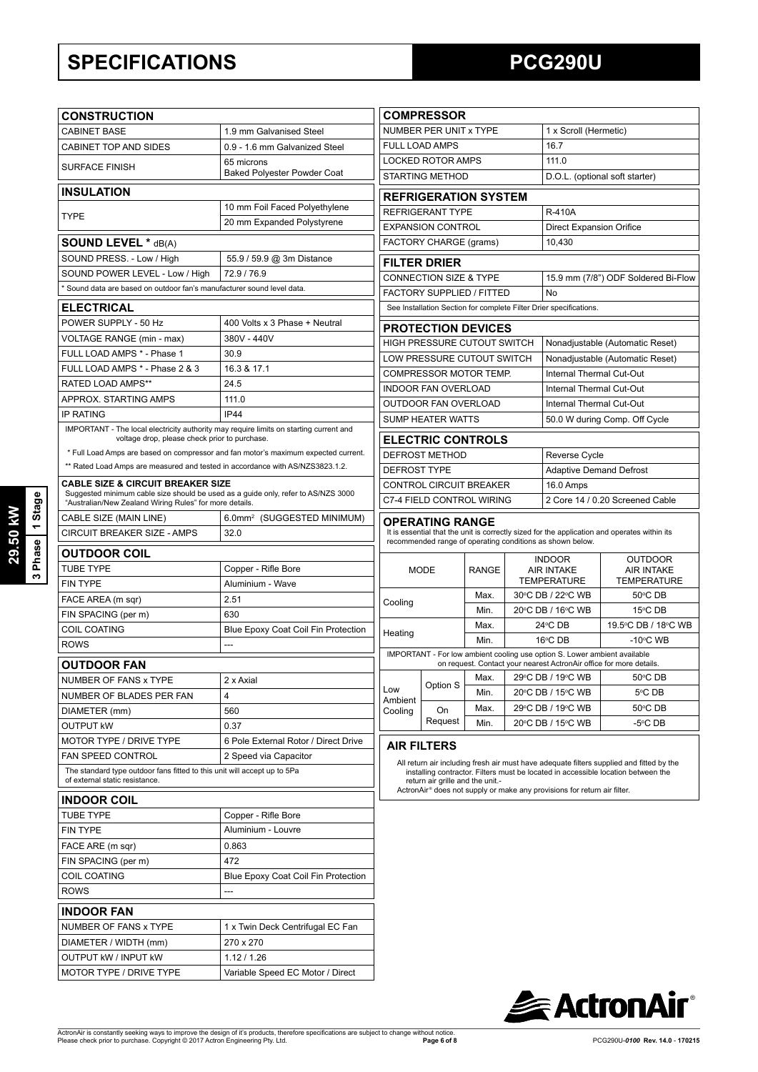## **SPECIFICATIONS PCG290U**

|                | <b>CONSTRUCTION</b>                                                                                                               | <b>COMPRESSOR</b>                          |                                                                                                                                                  |                                                          |              |         |                                                                          |                                                                                                                                                                               |  |  |
|----------------|-----------------------------------------------------------------------------------------------------------------------------------|--------------------------------------------|--------------------------------------------------------------------------------------------------------------------------------------------------|----------------------------------------------------------|--------------|---------|--------------------------------------------------------------------------|-------------------------------------------------------------------------------------------------------------------------------------------------------------------------------|--|--|
|                | <b>CABINET BASE</b>                                                                                                               | 1.9 mm Galvanised Steel                    |                                                                                                                                                  | NUMBER PER UNIT x TYPE                                   |              |         |                                                                          | 1 x Scroll (Hermetic)                                                                                                                                                         |  |  |
|                | CABINET TOP AND SIDES                                                                                                             | 0.9 - 1.6 mm Galvanized Steel              |                                                                                                                                                  | FULL LOAD AMPS                                           |              |         | 16.7                                                                     |                                                                                                                                                                               |  |  |
|                |                                                                                                                                   | 65 microns                                 |                                                                                                                                                  | <b>LOCKED ROTOR AMPS</b>                                 |              |         | 111.0                                                                    |                                                                                                                                                                               |  |  |
|                | <b>SURFACE FINISH</b>                                                                                                             | <b>Baked Polyester Powder Coat</b>         | <b>STARTING METHOD</b><br>D.O.L. (optional soft starter)                                                                                         |                                                          |              |         |                                                                          |                                                                                                                                                                               |  |  |
|                | <b>INSULATION</b>                                                                                                                 |                                            | <b>REFRIGERATION SYSTEM</b>                                                                                                                      |                                                          |              |         |                                                                          |                                                                                                                                                                               |  |  |
|                | 10 mm Foil Faced Polyethylene                                                                                                     |                                            |                                                                                                                                                  | <b>REFRIGERANT TYPE</b><br><b>R-410A</b>                 |              |         |                                                                          |                                                                                                                                                                               |  |  |
|                | <b>TYPE</b>                                                                                                                       | 20 mm Expanded Polystyrene                 |                                                                                                                                                  | <b>EXPANSION CONTROL</b>                                 |              |         | <b>Direct Expansion Orifice</b>                                          |                                                                                                                                                                               |  |  |
|                | <b>SOUND LEVEL * dB(A)</b>                                                                                                        |                                            |                                                                                                                                                  | FACTORY CHARGE (grams)                                   |              |         | 10,430                                                                   |                                                                                                                                                                               |  |  |
|                | SOUND PRESS. - Low / High                                                                                                         | 55.9 / 59.9 @ 3m Distance                  |                                                                                                                                                  |                                                          |              |         |                                                                          |                                                                                                                                                                               |  |  |
|                | SOUND POWER LEVEL - Low / High                                                                                                    | 72.9 / 76.9                                |                                                                                                                                                  | <b>FILTER DRIER</b><br><b>CONNECTION SIZE &amp; TYPE</b> |              |         |                                                                          | 15.9 mm (7/8") ODF Soldered Bi-Flow                                                                                                                                           |  |  |
|                | * Sound data are based on outdoor fan's manufacturer sound level data.                                                            |                                            |                                                                                                                                                  | FACTORY SUPPLIED / FITTED                                |              |         | No                                                                       |                                                                                                                                                                               |  |  |
|                | <b>ELECTRICAL</b>                                                                                                                 |                                            |                                                                                                                                                  |                                                          |              |         | See Installation Section for complete Filter Drier specifications.       |                                                                                                                                                                               |  |  |
|                | POWER SUPPLY - 50 Hz                                                                                                              | 400 Volts x 3 Phase + Neutral              |                                                                                                                                                  |                                                          |              |         |                                                                          |                                                                                                                                                                               |  |  |
|                | VOLTAGE RANGE (min - max)                                                                                                         | 380V - 440V                                |                                                                                                                                                  | <b>PROTECTION DEVICES</b>                                |              |         |                                                                          |                                                                                                                                                                               |  |  |
|                | FULL LOAD AMPS * - Phase 1                                                                                                        | 30.9                                       |                                                                                                                                                  | HIGH PRESSURE CUTOUT SWITCH                              |              |         |                                                                          | Nonadjustable (Automatic Reset)                                                                                                                                               |  |  |
|                | FULL LOAD AMPS * - Phase 2 & 3                                                                                                    | 16.3 & 17.1                                |                                                                                                                                                  | LOW PRESSURE CUTOUT SWITCH                               |              |         |                                                                          | Nonadjustable (Automatic Reset)                                                                                                                                               |  |  |
|                | RATED LOAD AMPS**                                                                                                                 | 24.5                                       |                                                                                                                                                  | COMPRESSOR MOTOR TEMP.                                   |              |         | Internal Thermal Cut-Out                                                 |                                                                                                                                                                               |  |  |
|                | APPROX. STARTING AMPS                                                                                                             | 111.0                                      |                                                                                                                                                  | <b>INDOOR FAN OVERLOAD</b>                               |              |         | Internal Thermal Cut-Out                                                 |                                                                                                                                                                               |  |  |
|                | <b>IP RATING</b>                                                                                                                  | <b>IP44</b>                                |                                                                                                                                                  | OUTDOOR FAN OVERLOAD                                     |              |         | Internal Thermal Cut-Out                                                 |                                                                                                                                                                               |  |  |
|                | IMPORTANT - The local electricity authority may require limits on starting current and                                            |                                            |                                                                                                                                                  | <b>SUMP HEATER WATTS</b>                                 |              |         |                                                                          | 50.0 W during Comp. Off Cycle                                                                                                                                                 |  |  |
|                | voltage drop, please check prior to purchase.                                                                                     |                                            |                                                                                                                                                  | <b>ELECTRIC CONTROLS</b>                                 |              |         |                                                                          |                                                                                                                                                                               |  |  |
|                | * Full Load Amps are based on compressor and fan motor's maximum expected current.                                                |                                            |                                                                                                                                                  | DEFROST METHOD                                           |              |         | Reverse Cycle                                                            |                                                                                                                                                                               |  |  |
|                | ** Rated Load Amps are measured and tested in accordance with AS/NZS3823.1.2.                                                     |                                            | <b>DEFROST TYPE</b>                                                                                                                              |                                                          |              |         | <b>Adaptive Demand Defrost</b>                                           |                                                                                                                                                                               |  |  |
|                | <b>CABLE SIZE &amp; CIRCUIT BREAKER SIZE</b><br>Suggested minimum cable size should be used as a guide only, refer to AS/NZS 3000 |                                            |                                                                                                                                                  | CONTROL CIRCUIT BREAKER                                  |              |         | 16.0 Amps                                                                |                                                                                                                                                                               |  |  |
| Stage          | "Australian/New Zealand Wiring Rules" for more details.                                                                           |                                            |                                                                                                                                                  | C7-4 FIELD CONTROL WIRING                                |              |         |                                                                          | 2 Core 14 / 0.20 Screened Cable                                                                                                                                               |  |  |
|                | 6.0mm <sup>2</sup> (SUGGESTED MINIMUM)<br>CABLE SIZE (MAIN LINE)                                                                  |                                            |                                                                                                                                                  | <b>OPERATING RANGE</b>                                   |              |         |                                                                          |                                                                                                                                                                               |  |  |
| $\overline{ }$ | CIRCUIT BREAKER SIZE - AMPS                                                                                                       | 32.0                                       |                                                                                                                                                  |                                                          |              |         | recommended range of operating conditions as shown below.                | It is essential that the unit is correctly sized for the application and operates within its                                                                                  |  |  |
| 3 Phase        | <b>OUTDOOR COIL</b>                                                                                                               |                                            |                                                                                                                                                  |                                                          |              |         |                                                                          |                                                                                                                                                                               |  |  |
|                | <b>TUBE TYPE</b>                                                                                                                  | Copper - Rifle Bore                        | <b>MODE</b>                                                                                                                                      |                                                          | <b>RANGE</b> |         | <b>INDOOR</b><br><b>AIR INTAKE</b>                                       | <b>OUTDOOR</b><br><b>AIR INTAKE</b>                                                                                                                                           |  |  |
|                | <b>FIN TYPE</b>                                                                                                                   | Aluminium - Wave                           |                                                                                                                                                  |                                                          |              |         | <b>TEMPERATURE</b>                                                       | <b>TEMPERATURE</b>                                                                                                                                                            |  |  |
|                | FACE AREA (m sqr)                                                                                                                 | 2.51                                       | Cooling                                                                                                                                          |                                                          | Max.         |         | 30°C DB / 22°C WB                                                        | 50°C DB                                                                                                                                                                       |  |  |
|                | FIN SPACING (per m)                                                                                                               | 630                                        |                                                                                                                                                  |                                                          | Min.         |         | 20°C DB / 16°C WB                                                        | 15°C DB                                                                                                                                                                       |  |  |
|                | COIL COATING                                                                                                                      | <b>Blue Epoxy Coat Coil Fin Protection</b> | Heating                                                                                                                                          |                                                          | Max.         | 24°C DB |                                                                          | 19.5°C DB / 18°C WB                                                                                                                                                           |  |  |
|                | <b>ROWS</b>                                                                                                                       | ---                                        |                                                                                                                                                  |                                                          | Min.         | 16°C DB |                                                                          | $-10^{\circ}$ C WB                                                                                                                                                            |  |  |
|                | <b>OUTDOOR FAN</b>                                                                                                                |                                            | IMPORTANT - For low ambient cooling use option S. Lower ambient available<br>on request. Contact your nearest ActronAir office for more details. |                                                          |              |         |                                                                          |                                                                                                                                                                               |  |  |
|                | NUMBER OF FANS x TYPE                                                                                                             | 2 x Axial                                  |                                                                                                                                                  |                                                          |              |         |                                                                          | Max. 29°C DB / 19°C WB $\vert$ 50°C DB                                                                                                                                        |  |  |
|                | NUMBER OF BLADES PER FAN                                                                                                          | $\overline{4}$                             | Low<br>Ambient                                                                                                                                   | Option S                                                 | Min.         |         | 20°C DB / 15°C WB                                                        | 5°C DB                                                                                                                                                                        |  |  |
|                | DIAMETER (mm)                                                                                                                     | 560                                        | Cooling                                                                                                                                          | On                                                       | Max.         |         | 29°C DB / 19°C WB                                                        | 50°C DB                                                                                                                                                                       |  |  |
|                | <b>OUTPUT KW</b>                                                                                                                  | 0.37                                       |                                                                                                                                                  | Request                                                  | Min.         |         | 20°C DB / 15°C WB                                                        | -5°C DB                                                                                                                                                                       |  |  |
|                | MOTOR TYPE / DRIVE TYPE                                                                                                           | 6 Pole External Rotor / Direct Drive       |                                                                                                                                                  | <b>AIR FILTERS</b>                                       |              |         |                                                                          |                                                                                                                                                                               |  |  |
|                | <b>FAN SPEED CONTROL</b>                                                                                                          | 2 Speed via Capacitor                      |                                                                                                                                                  |                                                          |              |         |                                                                          |                                                                                                                                                                               |  |  |
|                | The standard type outdoor fans fitted to this unit will accept up to 5Pa<br>of external static resistance.                        |                                            |                                                                                                                                                  | return air grille and the unit.-                         |              |         |                                                                          | All return air including fresh air must have adequate filters supplied and fitted by the<br>installing contractor. Filters must be located in accessible location between the |  |  |
|                | <b>INDOOR COIL</b>                                                                                                                |                                            |                                                                                                                                                  |                                                          |              |         | ActronAir® does not supply or make any provisions for return air filter. |                                                                                                                                                                               |  |  |
|                | TUBE TYPE                                                                                                                         | Copper - Rifle Bore                        |                                                                                                                                                  |                                                          |              |         |                                                                          |                                                                                                                                                                               |  |  |
|                | <b>FIN TYPE</b>                                                                                                                   | Aluminium - Louvre                         |                                                                                                                                                  |                                                          |              |         |                                                                          |                                                                                                                                                                               |  |  |
|                | FACE ARE (m sqr)                                                                                                                  | 0.863                                      |                                                                                                                                                  |                                                          |              |         |                                                                          |                                                                                                                                                                               |  |  |
|                | FIN SPACING (per m)                                                                                                               | 472                                        |                                                                                                                                                  |                                                          |              |         |                                                                          |                                                                                                                                                                               |  |  |
|                | COIL COATING                                                                                                                      | Blue Epoxy Coat Coil Fin Protection        |                                                                                                                                                  |                                                          |              |         |                                                                          |                                                                                                                                                                               |  |  |
|                | <b>ROWS</b>                                                                                                                       | ---                                        |                                                                                                                                                  |                                                          |              |         |                                                                          |                                                                                                                                                                               |  |  |
|                | <b>INDOOR FAN</b>                                                                                                                 |                                            |                                                                                                                                                  |                                                          |              |         |                                                                          |                                                                                                                                                                               |  |  |
|                | NUMBER OF FANS x TYPE                                                                                                             | 1 x Twin Deck Centrifugal EC Fan           |                                                                                                                                                  |                                                          |              |         |                                                                          |                                                                                                                                                                               |  |  |
|                | DIAMETER / WIDTH (mm)                                                                                                             | 270 x 270                                  |                                                                                                                                                  |                                                          |              |         |                                                                          |                                                                                                                                                                               |  |  |
|                | <b>OUTPUT KW / INPUT KW</b>                                                                                                       | 1.12 / 1.26                                |                                                                                                                                                  |                                                          |              |         |                                                                          |                                                                                                                                                                               |  |  |
|                | MOTOR TYPE / DRIVE TYPE                                                                                                           | Variable Speed EC Motor / Direct           |                                                                                                                                                  |                                                          |              |         |                                                                          |                                                                                                                                                                               |  |  |
|                |                                                                                                                                   |                                            |                                                                                                                                                  |                                                          |              |         |                                                                          |                                                                                                                                                                               |  |  |

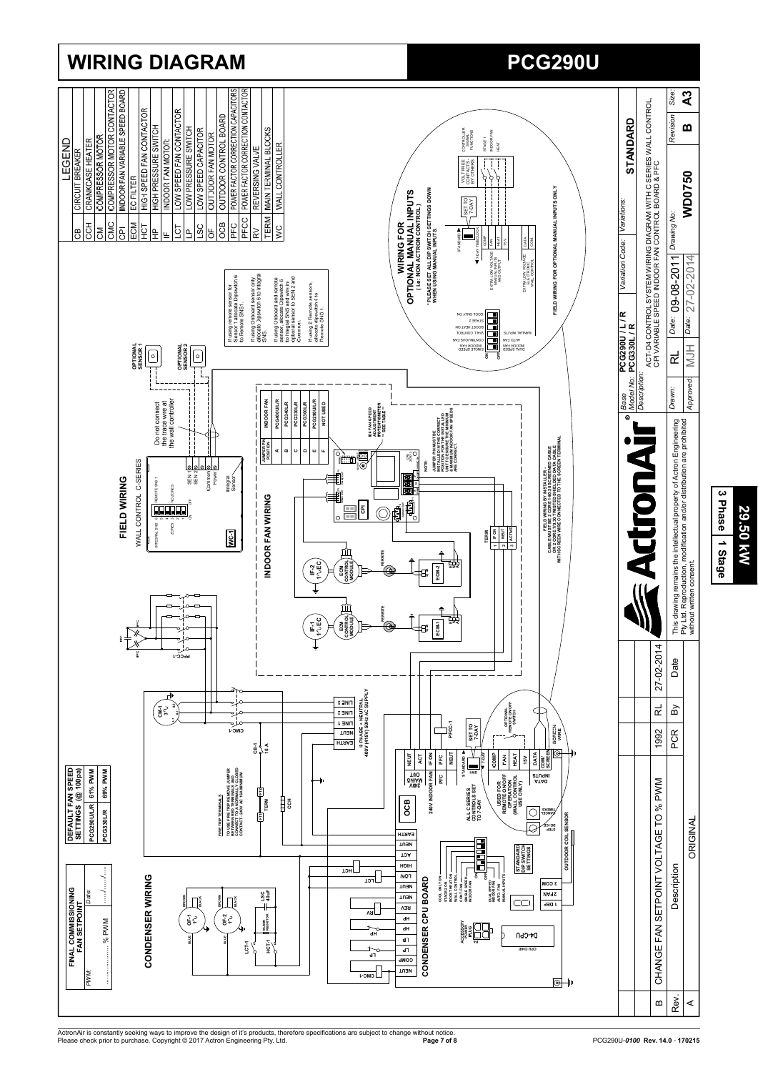

ActronAir is constantly seeking ways to improve the design of it's products, therefore specifications are subject to change without notice.<br>Please check prior to purchase. Copyright © 2017 Actron Engineering Pty. Ltd.

**29.50 kW**

**29.50 kW**